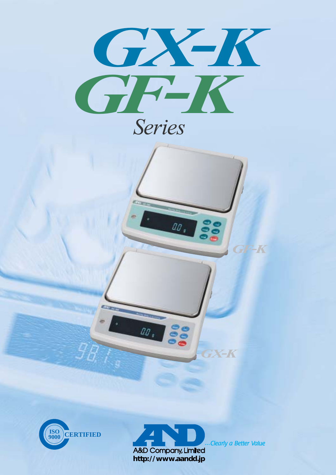

# *Series*

10. 8





00. 88

Clearly a Better Value

*GX-K*

*GF-K*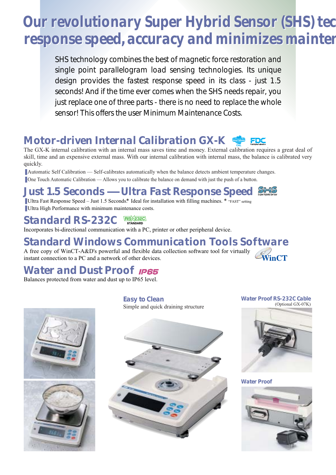# *Our revolutionary Super Hybrid Sensor (SHS) tec Our revolutionary Super Hybrid Sensor (SHS) tech response speed, accuracy and minimizes mainten response speed, accuracy and minimizes mainten*

*SHS technology combines the best of magnetic force restoration and single point parallelogram load sensing technologies. Its unique design provides the fastest response speed in its class - just 1.5 seconds! And if the time ever comes when the SHS needs repair, you just replace one of three parts - there is no need to replace the whole sensor! This offers the user Minimum Maintenance Costs.*

# *Motor-driven Internal Calibration GX-K*

The GX-K internal calibration with an internal mass saves time and money. External calibration requires a great deal of skill, time and an expensive external mass. With our internal calibration with internal mass, the balance is calibrated very quickly.

■ Automatic Self Calibration — Self-calibrates automatically when the balance detects ambient temperature changes.

■ One Touch Automatic Calibration — Allows you to calibrate the balance on demand with just the push of a button.

# *Just 1.5 Seconds — Ultra Fast Response Speed*

■ Ultra Fast Response Speed – Just 1.5 Seconds.\* Ideal for installation with filling machines. \* "FAST" setting ■ Ultra High Performance with minimum maintenance costs.

#### **RS**E232C *Standard RS-232C*

Incorporates bi-directional communication with a PC, printer or other peripheral device.

# *Standard Windows Communication Tools Software*

A free copy of WinCT-A&D's powerful and flexible data collection software tool for virtually instant connection to a PC and a network of other devices.

# *Water and Dust Proof*

Balances protected from water and dust up to IP65 level.



*Easy to Clean* Simple and quick draining structure *Water Proof RS-232C Cable* (Optional GX-07K)



#### *Water Proof*

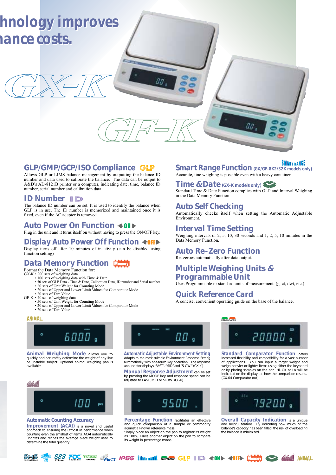

### *GLP/GMP/GCP/ISO Compliance*

Allows GLP or LIMS balance management by outputting the balance ID number and data used to calibrate the balance. The data can be output to A&D's AD-8121B printer or a computer, indicating date, time, balance ID number, serial number and calibration data.

# *ID Number* **ID**

The balance ID number can be set. It is used to identify the balance when GLP is in use. The ID number is memorized and maintained once it is fixed, even if the AC adapter is removed.

# *Auto Power On Function*

Plug in the unit and it turns itself on without having to press the ON/OFF key.

# **Display Auto Power Off Function <10FF**

Display turns off after 10 minutes of inactivity (can be disabled using function setting)

# *Data Memory Function*

- 
- Format the Data Memory Function for:<br>GX-K 200 sets of weighing data<br>• 100 sets of GLP Data Time & Date, Calibration Data, ID number and Serial number<br>• 50 sets of GLP Data Time & Date, Calibration Data, ID number and
	- 20 sets of Unit Weight for Counting Mode 20 sets of Upper and Lower Limit Values for Comparator Mode
	-
- 
- 
- 20 sets of Tare Value<br>GF-K 40 sets of weighing data<br>• 50 sets of Unit Weight for Counting Mode<br>• 20 sets of Upper and Lower Limit Values for Comparator Mode • 20 sets of Tare Value

#### **ANIMAL**



*Animal Weighing Mode* allows you to quickly and accurately determine the weight of any live or unstable subject. Optional animal weighing pan is available.



#### *Automatic Counting Accuracy*

*Improvement (ACAI)* is a novel and useful approach to ensuring the utmost in performance when counting even the smallest of items. ACAI automatically updates and refines the average piece weight used to determine the total quantity. 0.0

*Automatic Adjustable Environment Setting* Adapts to the most suitable Environment Response Setting automatically with one-touch key operation. The response annunciator displays "FAST", "MID" and "SLOW." (GX-K )

*Manual Response Adjustment* can be set<br>by pressing the MODE key and response speed can be<br>adjusted to FAST, MID or SLOW. (GF-K)



*Percentage Function* facilitates an effective and quick comparison of a sample or commodity against a known reference mass.

Simply place an object on the pan to register its weight as 100%. Place another object on the pan to compare its weight in percentage mode.



**SMART RANGE Function** *(GX/GF-8K2/32K models only)* Accurate, fine weighing is possible even with a heavy container.

### *Time* **&** *Date (GX-K models only)*

Standard Time & Date Function complies with GLP and Interval Weighing in the Data Memory Function.

### *Auto Self Checking*

Automatically checks itself when setting the Automatic Adjustable Environment.

### *Interval Time Setting*

Weighing intervals of 2, 5, 10, 30 seconds and 1, 2, 5, 10 minutes in the Data Memory Function.

#### *Auto Re-Zero Function* Re-zeroes automatically after data output.

### *Multiple Weighing Units* **&** *Programmable Unit*

Uses Programmable or standard units of measurement. (g, ct, dwt, etc.)

## *Quick Reference Card*

A concise, convenient operating guide on the base of the balance.



**Standard Comparator Function offers** increased flexibility and compatibility for a vast number of applications. You can input a target weight and weigh heavier or lighter items using either the keyboard or by placing samples on the pan. Hi, OK or Lo will be indicated on the display to show the comparison results. (GX-04 Comparator out)



*Overall Capacity Indication* is a unique and helpful feature. By indicating how much of the balance's capacity has been filled, the risk of overloading the balance is minimized.

**ID** --